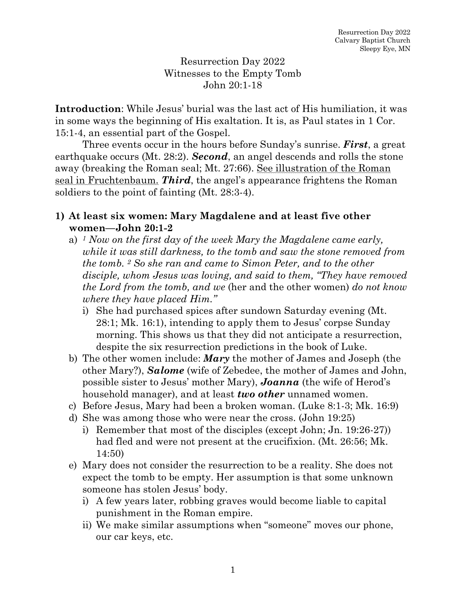#### Resurrection Day 2022 Witnesses to the Empty Tomb John 20:1-18

**Introduction**: While Jesus' burial was the last act of His humiliation, it was in some ways the beginning of His exaltation. It is, as Paul states in 1 Cor. 15:1-4, an essential part of the Gospel.

Three events occur in the hours before Sunday's sunrise. *First*, a great earthquake occurs (Mt. 28:2). *Second*, an angel descends and rolls the stone away (breaking the Roman seal; Mt. 27:66). See illustration of the Roman seal in Fruchtenbaum. *Third*, the angel's appearance frightens the Roman soldiers to the point of fainting (Mt. 28:3-4).

### **1) At least six women: Mary Magdalene and at least five other women—John 20:1-2**

- a) *<sup>1</sup> Now on the first day of the week Mary the Magdalene came early, while it was still darkness, to the tomb and saw the stone removed from the tomb. 2 So she ran and came to Simon Peter, and to the other disciple, whom Jesus was loving, and said to them, "They have removed the Lord from the tomb, and we* (her and the other women) *do not know where they have placed Him."*
	- i) She had purchased spices after sundown Saturday evening (Mt. 28:1; Mk. 16:1), intending to apply them to Jesus' corpse Sunday morning. This shows us that they did not anticipate a resurrection, despite the six resurrection predictions in the book of Luke.
- b) The other women include: *Mary* the mother of James and Joseph (the other Mary?), *Salome* (wife of Zebedee, the mother of James and John, possible sister to Jesus' mother Mary), *Joanna* (the wife of Herod's household manager), and at least *two other* unnamed women.
- c) Before Jesus, Mary had been a broken woman. (Luke 8:1-3; Mk. 16:9)
- d) She was among those who were near the cross. (John 19:25)
	- i) Remember that most of the disciples (except John; Jn. 19:26-27)) had fled and were not present at the crucifixion. (Mt. 26:56; Mk. 14:50)
- e) Mary does not consider the resurrection to be a reality. She does not expect the tomb to be empty. Her assumption is that some unknown someone has stolen Jesus' body.
	- i) A few years later, robbing graves would become liable to capital punishment in the Roman empire.
	- ii) We make similar assumptions when "someone" moves our phone, our car keys, etc.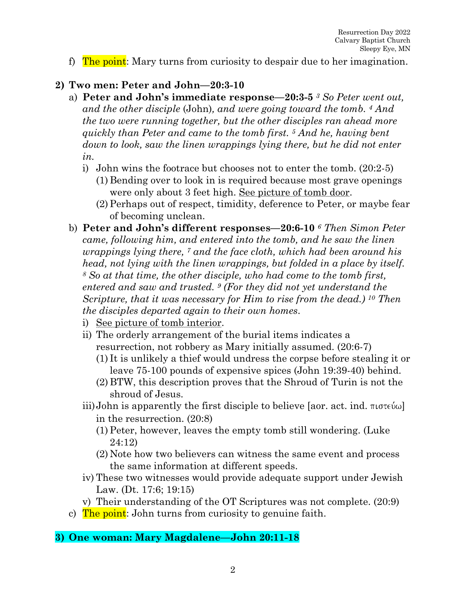f) The point: Mary turns from curiosity to despair due to her imagination.

# **2) Two men: Peter and John—20:3-10**

- a) **Peter and John's immediate response—20:3-5** *<sup>3</sup> So Peter went out, and the other disciple* (John)*, and were going toward the tomb. 4 And the two were running together, but the other disciples ran ahead more quickly than Peter and came to the tomb first. 5 And he, having bent*  down to look, saw the linen wrappings lying there, but he did not enter *in.*
	- i) John wins the footrace but chooses not to enter the tomb. (20:2-5)
		- (1) Bending over to look in is required because most grave openings were only about 3 feet high. See picture of tomb door.
		- (2)Perhaps out of respect, timidity, deference to Peter, or maybe fear of becoming unclean.
- b) **Peter and John's different responses—20:6-10** *<sup>6</sup> Then Simon Peter came, following him, and entered into the tomb, and he saw the linen wrappings lying there, 7 and the face cloth, which had been around his head, not lying with the linen wrappings, but folded in a place by itself. <sup>8</sup> So at that time, the other disciple, who had come to the tomb first, entered and saw and trusted. 9 (For they did not yet understand the Scripture, that it was necessary for Him to rise from the dead.) 10 Then the disciples departed again to their own homes*.
	- i) See picture of tomb interior.
	- ii) The orderly arrangement of the burial items indicates a resurrection, not robbery as Mary initially assumed. (20:6-7)
		- (1) It is unlikely a thief would undress the corpse before stealing it or leave 75-100 pounds of expensive spices (John 19:39-40) behind.
		- (2) BTW, this description proves that the Shroud of Turin is not the shroud of Jesus.
	- iii) John is apparently the first disciple to believe [aor. act. ind.  $\pi\sigma\tau\epsilon\dot{\omega}$ ] in the resurrection. (20:8)
		- (1)Peter, however, leaves the empty tomb still wondering. (Luke 24:12)
		- (2) Note how two believers can witness the same event and process the same information at different speeds.
	- iv) These two witnesses would provide adequate support under Jewish Law. (Dt. 17:6; 19:15)

v) Their understanding of the OT Scriptures was not complete. (20:9)

c) The point: John turns from curiosity to genuine faith.

### **3) One woman: Mary Magdalene—John 20:11-18**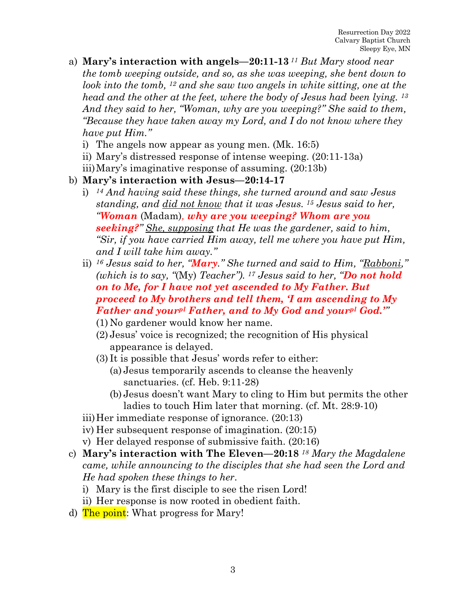- a) **Mary's interaction with angels—20:11-13** *<sup>11</sup> But Mary stood near the tomb weeping outside, and so, as she was weeping, she bent down to look into the tomb, 12 and she saw two angels in white sitting, one at the head and the other at the feet, where the body of Jesus had been lying. 13 And they said to her, "Woman, why are you weeping?" She said to them, "Because they have taken away my Lord, and I do not know where they have put Him."*
	- i) The angels now appear as young men. (Mk. 16:5)
	- ii) Mary's distressed response of intense weeping. (20:11-13a)
	- iii)Mary's imaginative response of assuming. (20:13b)
- b) **Mary's interaction with Jesus—20:14-17**
	- i) *<sup>14</sup> And having said these things, she turned around and saw Jesus standing, and did not know that it was Jesus. 15 Jesus said to her, "Woman* (Madam)*, why are you weeping? Whom are you seeking?" She, supposing that He was the gardener, said to him, "Sir, if you have carried Him away, tell me where you have put Him, and I will take him away."*
	- ii) *<sup>16</sup> Jesus said to her, "Mary." She turned and said to Him, "Rabboni," (which is to say, "*(My) *Teacher"). <sup>17</sup> Jesus said to her, "Do not hold on to Me, for I have not yet ascended to My Father. But proceed to My brothers and tell them, 'I am ascending to My Father and yourpl Father, and to My God and yourpl God.'"*
		- (1) No gardener would know her name.
		- (2) Jesus' voice is recognized; the recognition of His physical appearance is delayed.
		- (3) It is possible that Jesus' words refer to either:
			- (a) Jesus temporarily ascends to cleanse the heavenly sanctuaries. (cf. Heb. 9:11-28)
			- (b) Jesus doesn't want Mary to cling to Him but permits the other ladies to touch Him later that morning. (cf. Mt. 28:9-10)
	- iii)Her immediate response of ignorance. (20:13)
	- iv) Her subsequent response of imagination. (20:15)
	- v) Her delayed response of submissive faith. (20:16)
- c) **Mary's interaction with The Eleven—20:18** *<sup>18</sup> Mary the Magdalene came, while announcing to the disciples that she had seen the Lord and He had spoken these things to her*.
	- i) Mary is the first disciple to see the risen Lord!
	- ii) Her response is now rooted in obedient faith.
- d) The point: What progress for Mary!